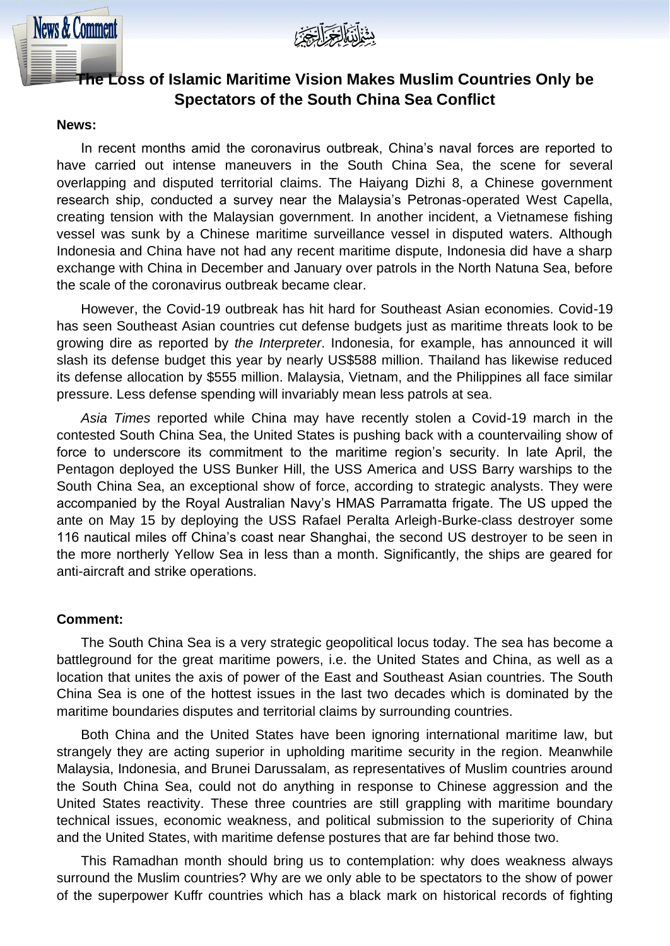

# **The Loss of Islamic Maritime Vision Makes Muslim Countries Only be Spectators of the South China Sea Conflict**

#### **News:**

**News & Comment** 

In recent months amid the coronavirus outbreak, China's naval forces are reported to have carried out intense maneuvers in the South China Sea, the scene for several overlapping and disputed territorial claims. The Haiyang Dizhi 8, a Chinese government research ship, conducted a survey near the Malaysia's Petronas-operated West Capella, creating tension with the Malaysian government. In another incident, a Vietnamese fishing vessel was sunk by a Chinese maritime surveillance vessel in disputed waters. Although Indonesia and China have not had any recent maritime dispute, Indonesia did have a sharp exchange with China in December and January over patrols in the North Natuna Sea, before the scale of the coronavirus outbreak became clear.

However, the Covid-19 outbreak has hit hard for Southeast Asian economies. Covid-19 has seen Southeast Asian countries cut defense budgets just as maritime threats look to be growing dire as reported by *the Interpreter*. Indonesia, for example, has announced it will slash its defense budget this year by nearly US\$588 million. Thailand has likewise reduced its defense allocation by \$555 million. Malaysia, Vietnam, and the Philippines all face similar pressure. Less defense spending will invariably mean less patrols at sea.

*Asia Times* reported while China may have recently stolen a Covid-19 march in the contested South China Sea, the United States is pushing back with a countervailing show of force to underscore its commitment to the maritime region's security. In late April, the Pentagon deployed the USS Bunker Hill, the USS America and USS Barry warships to the South China Sea, an exceptional show of force, according to strategic analysts. They were accompanied by the Royal Australian Navy's HMAS Parramatta frigate. The US upped the ante on May 15 by deploying the USS Rafael Peralta Arleigh-Burke-class destroyer some 116 nautical miles off China's coast near Shanghai, the second US destroyer to be seen in the more northerly Yellow Sea in less than a month. Significantly, the ships are geared for anti-aircraft and strike operations.

#### **Comment:**

The South China Sea is a very strategic geopolitical locus today. The sea has become a battleground for the great maritime powers, i.e. the United States and China, as well as a location that unites the axis of power of the East and Southeast Asian countries. The South China Sea is one of the hottest issues in the last two decades which is dominated by the maritime boundaries disputes and territorial claims by surrounding countries.

Both China and the United States have been ignoring international maritime law, but strangely they are acting superior in upholding maritime security in the region. Meanwhile Malaysia, Indonesia, and Brunei Darussalam, as representatives of Muslim countries around the South China Sea, could not do anything in response to Chinese aggression and the United States reactivity. These three countries are still grappling with maritime boundary technical issues, economic weakness, and political submission to the superiority of China and the United States, with maritime defense postures that are far behind those two.

This Ramadhan month should bring us to contemplation: why does weakness always surround the Muslim countries? Why are we only able to be spectators to the show of power of the superpower Kuffr countries which has a black mark on historical records of fighting